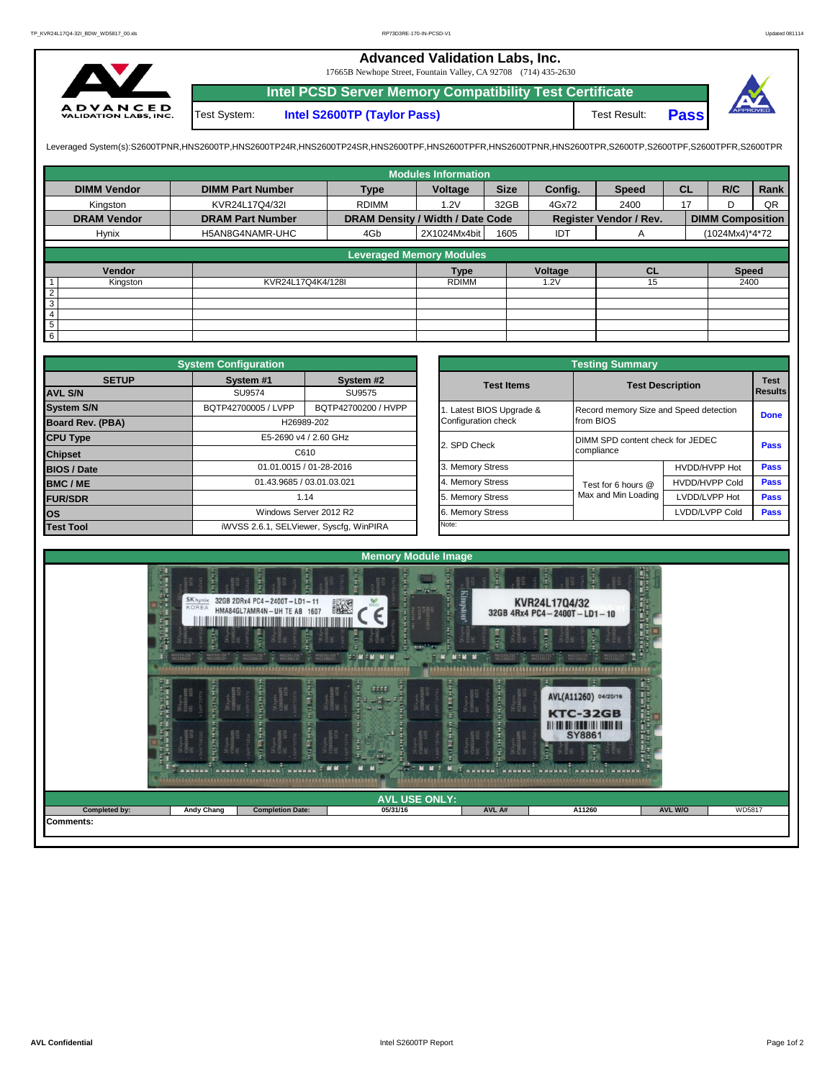## **Advanced Validation Labs, Inc.**

17665B Newhope Street, Fountain Valley, CA 92708 (714) 435-2630



Test System: **Intel S2600TP (Taylor Pass)** Test Result: **Intel PCSD Server Memory Compatibility Test Certificate Pass**

Leveraged System(s):S2600TPNR,HNS2600TP,HNS2600TP24R,HNS2600TP24SR,HNS2600TPF,HNS2600TPRR,HNS2600TPR,S2600TPR,S2600TPR,S2600TPR,S2600TPR,S2600TPFR,S2600TPFR,

|                    |                         |                                  | <b>Modules Information</b>      |             |         |                        |           |                         |      |
|--------------------|-------------------------|----------------------------------|---------------------------------|-------------|---------|------------------------|-----------|-------------------------|------|
| <b>DIMM Vendor</b> | <b>DIMM Part Number</b> | <b>Type</b>                      | Voltage                         | <b>Size</b> | Config. | <b>Speed</b>           | <b>CL</b> | R/C                     | Rank |
| Kingston           | KVR24L17Q4/32I          | <b>RDIMM</b>                     | 1.2V                            | 32GB        | 4Gx72   | 2400                   | 17        | D                       | QR   |
| <b>DRAM Vendor</b> | <b>DRAM Part Number</b> | DRAM Density / Width / Date Code |                                 |             |         | Register Vendor / Rev. |           | <b>DIMM Composition</b> |      |
| Hynix              | H5AN8G4NAMR-UHC         | 4Gb                              | 2X1024Mx4bit                    | 1605        | IDT     | A                      |           | (1024Mx4)*4*72          |      |
|                    |                         |                                  | <b>Leveraged Memory Modules</b> |             |         |                        |           |                         |      |
|                    |                         |                                  |                                 |             |         |                        |           |                         |      |
| Vendor             |                         |                                  | <b>Type</b>                     |             | Voltage | <b>CL</b>              |           | <b>Speed</b>            |      |
| Kingston           | KVR24L17Q4K4/128I       |                                  | <b>RDIMM</b>                    |             | 1.2V    | 15                     |           | 2400                    |      |
| $\overline{2}$     |                         |                                  |                                 |             |         |                        |           |                         |      |
| 3                  |                         |                                  |                                 |             |         |                        |           |                         |      |
| $\overline{4}$     |                         |                                  |                                 |             |         |                        |           |                         |      |
| $\overline{5}$     |                         |                                  |                                 |             |         |                        |           |                         |      |
| $6\overline{6}$    |                         |                                  |                                 |             |         |                        |           |                         |      |

| <b>System Configuration</b><br><b>SETUP</b><br>System #1<br><b>AVL S/N</b><br>SU9574<br>SU9575<br>BQTP42700005 / LVPP<br>H26989-202<br>E5-2690 v4 / 2.60 GHz<br>C610<br>01.01.0015 / 01-28-2016<br>01.43.9685 / 03.01.03.021 |  |                                         |  |                       | <b>Testing Summary</b>                 |                                  |             |  |  |  |
|------------------------------------------------------------------------------------------------------------------------------------------------------------------------------------------------------------------------------|--|-----------------------------------------|--|-----------------------|----------------------------------------|----------------------------------|-------------|--|--|--|
|                                                                                                                                                                                                                              |  | System #2                               |  | <b>Test Items</b>     |                                        | <b>Test Description</b>          |             |  |  |  |
|                                                                                                                                                                                                                              |  |                                         |  |                       |                                        |                                  | Results     |  |  |  |
| <b>System S/N</b>                                                                                                                                                                                                            |  | BQTP42700200 / HVPP                     |  | Latest BIOS Upgrade & | Record memory Size and Speed detection |                                  | <b>Done</b> |  |  |  |
| <b>Board Rev. (PBA)</b>                                                                                                                                                                                                      |  |                                         |  | Configuration check   | from BIOS                              |                                  |             |  |  |  |
| <b>CPU Type</b>                                                                                                                                                                                                              |  |                                         |  | 2. SPD Check          |                                        | DIMM SPD content check for JEDEC |             |  |  |  |
| <b>Chipset</b>                                                                                                                                                                                                               |  |                                         |  |                       | compliance                             |                                  | Pass        |  |  |  |
| <b>BIOS / Date</b>                                                                                                                                                                                                           |  |                                         |  | 3. Memory Stress      |                                        | HVDD/HVPP Hot                    | Pass        |  |  |  |
| <b>BMC/ME</b>                                                                                                                                                                                                                |  |                                         |  | 4. Memory Stress      | Test for 6 hours @                     | <b>HVDD/HVPP Cold</b>            | <b>Pass</b> |  |  |  |
| <b>FUR/SDR</b>                                                                                                                                                                                                               |  | 1.14                                    |  | 5. Memory Stress      | Max and Min Loading                    | LVDD/LVPP Hot                    | <b>Pass</b> |  |  |  |
| <b>los</b>                                                                                                                                                                                                                   |  | Windows Server 2012 R2                  |  | 6. Memory Stress      |                                        | LVDD/LVPP Cold                   | <b>Pass</b> |  |  |  |
| <b>Test Tool</b>                                                                                                                                                                                                             |  | iWVSS 2.6.1, SELViewer, Syscfq, WinPIRA |  | Note:                 |                                        |                                  |             |  |  |  |

|              | <b>System Configuration</b> |                                         |                     | <b>Testing Summary</b>                 |                                  |                |  |  |  |  |
|--------------|-----------------------------|-----------------------------------------|---------------------|----------------------------------------|----------------------------------|----------------|--|--|--|--|
| <b>SETUP</b> | System #1                   | System #2                               | <b>Test Items</b>   | <b>Test Description</b>                |                                  |                |  |  |  |  |
|              | SU9574                      | SU9575                                  |                     |                                        |                                  | <b>Results</b> |  |  |  |  |
|              | BQTP42700005 / LVPP         | BQTP42700200 / HVPP                     |                     | Record memory Size and Speed detection |                                  |                |  |  |  |  |
| PBA)         |                             | H26989-202                              | Configuration check | from BIOS                              |                                  |                |  |  |  |  |
|              |                             | E5-2690 v4 / 2.60 GHz                   | 2. SPD Check        |                                        | DIMM SPD content check for JEDEC |                |  |  |  |  |
|              |                             | C610                                    |                     | compliance                             |                                  | Pass           |  |  |  |  |
|              |                             | 01.01.0015 / 01-28-2016                 | 3. Memory Stress    |                                        | HVDD/HVPP Hot                    | Pass           |  |  |  |  |
|              | 01.43.9685 / 03.01.03.021   |                                         | 4. Memory Stress    | Test for 6 hours @                     | <b>HVDD/HVPP Cold</b>            | Pass           |  |  |  |  |
|              |                             | 1.14                                    |                     | Max and Min Loading                    | LVDD/LVPP Hot                    | Pass           |  |  |  |  |
|              |                             | Windows Server 2012 R2                  | 6. Memory Stress    |                                        | LVDD/LVPP Cold                   |                |  |  |  |  |
|              |                             | iWVSS 2.6.1, SELViewer, Syscfq, WinPIRA | Note:               |                                        |                                  |                |  |  |  |  |